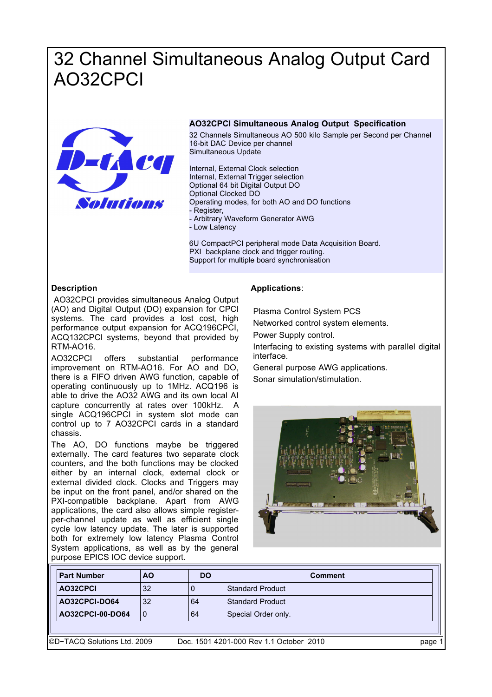# 32 Channel Simultaneous Analog Output Card AO32CPCI



### **AO32CPCI Simultaneous Analog Output Specification**

32 Channels Simultaneous AO 500 kilo Sample per Second per Channel 16-bit DAC Device per channel Simultaneous Update

Internal, External Clock selection Internal, External Trigger selection Optional 64 bit Digital Output DO Optional Clocked DO Operating modes, for both AO and DO functions - Register, - Arbitrary Waveform Generator AWG

- Low Latency

6U CompactPCI peripheral mode Data Acquisition Board. PXI backplane clock and trigger routing. Support for multiple board synchronisation

## **Description**

 AO32CPCI provides simultaneous Analog Output (AO) and Digital Output (DO) expansion for CPCI systems. The card provides a lost cost, high performance output expansion for ACQ196CPCI, ACQ132CPCI systems, beyond that provided by RTM-AO16.

AO32CPCI offers substantial performance improvement on RTM-AO16. For AO and DO, there is a FIFO driven AWG function, capable of operating continuously up to 1MHz. ACQ196 is able to drive the AO32 AWG and its own local AI capture concurrently at rates over 100kHz. A single ACQ196CPCI in system slot mode can control up to 7 AO32CPCI cards in a standard chassis.

The AO, DO functions maybe be triggered externally. The card features two separate clock counters, and the both functions may be clocked either by an internal clock, external clock or external divided clock. Clocks and Triggers may be input on the front panel, and/or shared on the PXI-compatible backplane. Apart from AWG applications, the card also allows simple registerper-channel update as well as efficient single cycle low latency update. The later is supported both for extremely low latency Plasma Control System applications, as well as by the general purpose EPICS IOC device support.

## **Applications**:

Plasma Control System PCS

Networked control system elements.

Power Supply control.

Interfacing to existing systems with parallel digital interface.

General purpose AWG applications.

Sonar simulation/stimulation.



| <b>Part Number</b>           | <b>AO</b> | <b>DO</b> | <b>Comment</b>                          |      |  |  |  |
|------------------------------|-----------|-----------|-----------------------------------------|------|--|--|--|
| AO32CPCI                     | 32        |           | <b>Standard Product</b>                 |      |  |  |  |
| AO32CPCI-DO64                | 32        | 64        | <b>Standard Product</b>                 |      |  |  |  |
| AO32CPCI-00-DO64             | 10        | 64        | Special Order only.                     |      |  |  |  |
|                              |           |           |                                         |      |  |  |  |
| I©D-TACQ Solutions Ltd. 2009 |           |           | Doc. 1501 4201-000 Rev 1.1 October 2010 | page |  |  |  |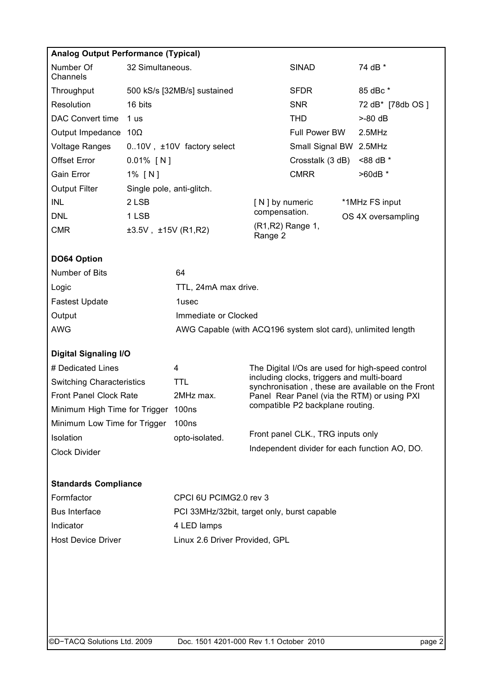| <b>Analog Output Performance (Typical)</b> |                                                              |                                             |                                                                                 |                                                                                                |  |                                                   |  |  |  |  |
|--------------------------------------------|--------------------------------------------------------------|---------------------------------------------|---------------------------------------------------------------------------------|------------------------------------------------------------------------------------------------|--|---------------------------------------------------|--|--|--|--|
| Number Of<br>Channels                      | 32 Simultaneous.                                             |                                             |                                                                                 | <b>SINAD</b>                                                                                   |  | 74 dB *                                           |  |  |  |  |
| Throughput                                 |                                                              | 500 kS/s [32MB/s] sustained                 |                                                                                 | <b>SFDR</b>                                                                                    |  | 85 dBc *                                          |  |  |  |  |
| Resolution                                 | 16 bits                                                      |                                             |                                                                                 | <b>SNR</b>                                                                                     |  | 72 dB* [78db OS ]                                 |  |  |  |  |
| <b>DAC Convert time</b>                    | 1 us                                                         |                                             |                                                                                 | <b>THD</b>                                                                                     |  | $>$ -80 dB                                        |  |  |  |  |
| Output Impedance $10\Omega$                |                                                              |                                             |                                                                                 | Full Power BW                                                                                  |  | $2.5$ MHz                                         |  |  |  |  |
| <b>Voltage Ranges</b>                      |                                                              | 010V, ±10V factory select                   |                                                                                 | Small Signal BW 2.5MHz                                                                         |  |                                                   |  |  |  |  |
| <b>Offset Error</b>                        | $0.01\%$ [N]                                                 |                                             |                                                                                 | Crosstalk (3 dB)                                                                               |  | <88 dB *                                          |  |  |  |  |
| Gain Error                                 | 1% [N]                                                       |                                             |                                                                                 | <b>CMRR</b>                                                                                    |  | $>60dB$ *                                         |  |  |  |  |
| <b>Output Filter</b>                       | Single pole, anti-glitch.                                    |                                             |                                                                                 |                                                                                                |  |                                                   |  |  |  |  |
| <b>INL</b>                                 | 2 LSB                                                        |                                             | [ N ] by numeric                                                                |                                                                                                |  | *1MHz FS input                                    |  |  |  |  |
| <b>DNL</b>                                 | 1 LSB                                                        |                                             | compensation.                                                                   |                                                                                                |  | OS 4X oversampling                                |  |  |  |  |
| <b>CMR</b>                                 | $\pm 3.5V$ , $\pm 15V$ (R1,R2)                               |                                             |                                                                                 | (R1, R2) Range 1,<br>Range 2                                                                   |  |                                                   |  |  |  |  |
| DO64 Option                                |                                                              |                                             |                                                                                 |                                                                                                |  |                                                   |  |  |  |  |
| Number of Bits                             |                                                              | 64                                          |                                                                                 |                                                                                                |  |                                                   |  |  |  |  |
| Logic                                      |                                                              | TTL, 24mA max drive.                        |                                                                                 |                                                                                                |  |                                                   |  |  |  |  |
| <b>Fastest Update</b>                      |                                                              | 1usec                                       |                                                                                 |                                                                                                |  |                                                   |  |  |  |  |
| Output                                     |                                                              | Immediate or Clocked                        |                                                                                 |                                                                                                |  |                                                   |  |  |  |  |
| <b>AWG</b>                                 | AWG Capable (with ACQ196 system slot card), unlimited length |                                             |                                                                                 |                                                                                                |  |                                                   |  |  |  |  |
| <b>Digital Signaling I/O</b>               |                                                              |                                             |                                                                                 |                                                                                                |  |                                                   |  |  |  |  |
| # Dedicated Lines                          |                                                              | 4                                           |                                                                                 | The Digital I/Os are used for high-speed control<br>including clocks, triggers and multi-board |  |                                                   |  |  |  |  |
| <b>Switching Characteristics</b>           |                                                              | <b>TTL</b>                                  |                                                                                 |                                                                                                |  | synchronisation, these are available on the Front |  |  |  |  |
| <b>Front Panel Clock Rate</b>              |                                                              | 2MHz max.<br>100ns                          | Panel Rear Panel (via the RTM) or using PXI<br>compatible P2 backplane routing. |                                                                                                |  |                                                   |  |  |  |  |
|                                            | Minimum High Time for Trigger                                |                                             |                                                                                 |                                                                                                |  |                                                   |  |  |  |  |
| Minimum Low Time for Trigger               |                                                              | 100 <sub>ns</sub>                           | Front panel CLK., TRG inputs only                                               |                                                                                                |  |                                                   |  |  |  |  |
| Isolation                                  |                                                              | opto-isolated.                              |                                                                                 | Independent divider for each function AO, DO.                                                  |  |                                                   |  |  |  |  |
| Clock Divider                              |                                                              |                                             |                                                                                 |                                                                                                |  |                                                   |  |  |  |  |
| <b>Standards Compliance</b>                |                                                              |                                             |                                                                                 |                                                                                                |  |                                                   |  |  |  |  |
| Formfactor                                 |                                                              | CPCI 6U PCIMG2.0 rev 3                      |                                                                                 |                                                                                                |  |                                                   |  |  |  |  |
| <b>Bus Interface</b>                       |                                                              | PCI 33MHz/32bit, target only, burst capable |                                                                                 |                                                                                                |  |                                                   |  |  |  |  |
| Indicator                                  |                                                              | 4 LED lamps                                 |                                                                                 |                                                                                                |  |                                                   |  |  |  |  |
| <b>Host Device Driver</b>                  |                                                              | Linux 2.6 Driver Provided, GPL              |                                                                                 |                                                                                                |  |                                                   |  |  |  |  |
|                                            |                                                              |                                             |                                                                                 |                                                                                                |  |                                                   |  |  |  |  |
|                                            |                                                              |                                             |                                                                                 |                                                                                                |  |                                                   |  |  |  |  |
|                                            |                                                              |                                             |                                                                                 |                                                                                                |  |                                                   |  |  |  |  |
|                                            |                                                              |                                             |                                                                                 |                                                                                                |  |                                                   |  |  |  |  |
|                                            |                                                              |                                             |                                                                                 |                                                                                                |  |                                                   |  |  |  |  |
|                                            |                                                              |                                             |                                                                                 |                                                                                                |  |                                                   |  |  |  |  |

©D−TACQ Solutions Ltd. 2009 Doc. 1501 4201-000 Rev 1.1 October 2010 page 2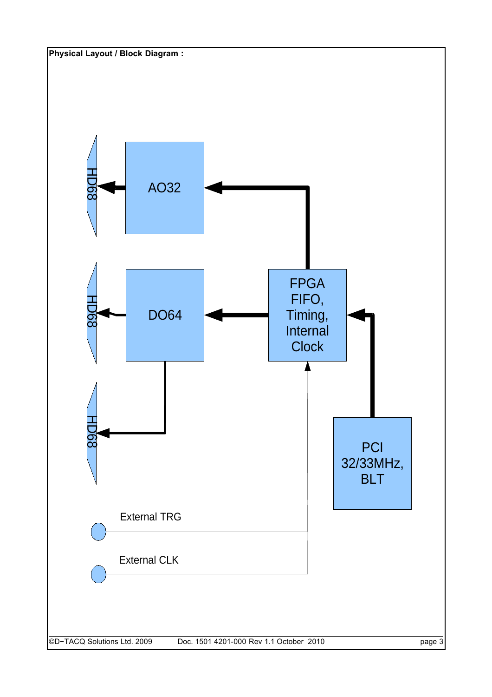